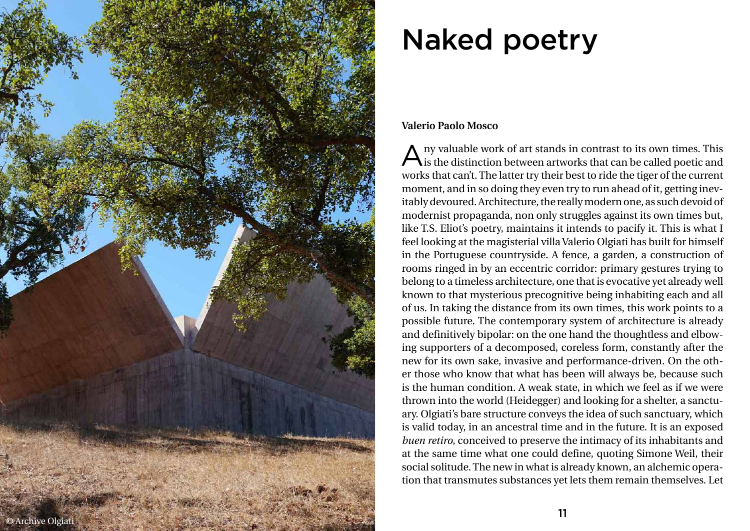## Naked poetry

## **Valerio Paolo Mosco**

Any valuable work of art stands in contrast to its own times. This is the distinction between artworks that can be called poetic and works that can't. The latter try their best to ride the tiger of the current moment, and in so doing they even try to run ahead of it, getting inev itably devoured. Architecture, the really modern one, as such devoid of modernist propaganda, non only struggles against its own times but, like T.S. Eliot's poetry, maintains it intends to pacify it. This is what I feel looking at the magisterial villa Valerio Olgiati has built for himself in the Portuguese countryside. A fence, a garden, a construction of rooms ringed in by an eccentric corridor: primary gestures trying to belong to a timeless architecture, one that is evocative yet already well known to that mysterious precognitive being inhabiting each and all of us. In taking the distance from its own times, this work points to a possible future. The contemporary system of architecture is already and definitively bipolar: on the one hand the thoughtless and elbow ing supporters of a decomposed, coreless form, constantly after the new for its own sake, invasive and performance-driven. On the oth er those who know that what has been will always be, because such is the human condition. A weak state, in which we feel as if we were thrown into the world (Heidegger) and looking for a shelter, a sanctu ary. Olgiati's bare structure conveys the idea of such sanctuary, which is valid today, in an ancestral time and in the future. It is an exposed *buen retiro*, conceived to preserve the intimacy of its inhabitants and at the same time what one could define, quoting Simone Weil, their social solitude. The new in what is already known, an alchemic opera tion that transmutes substances yet lets them remain themselves. Let